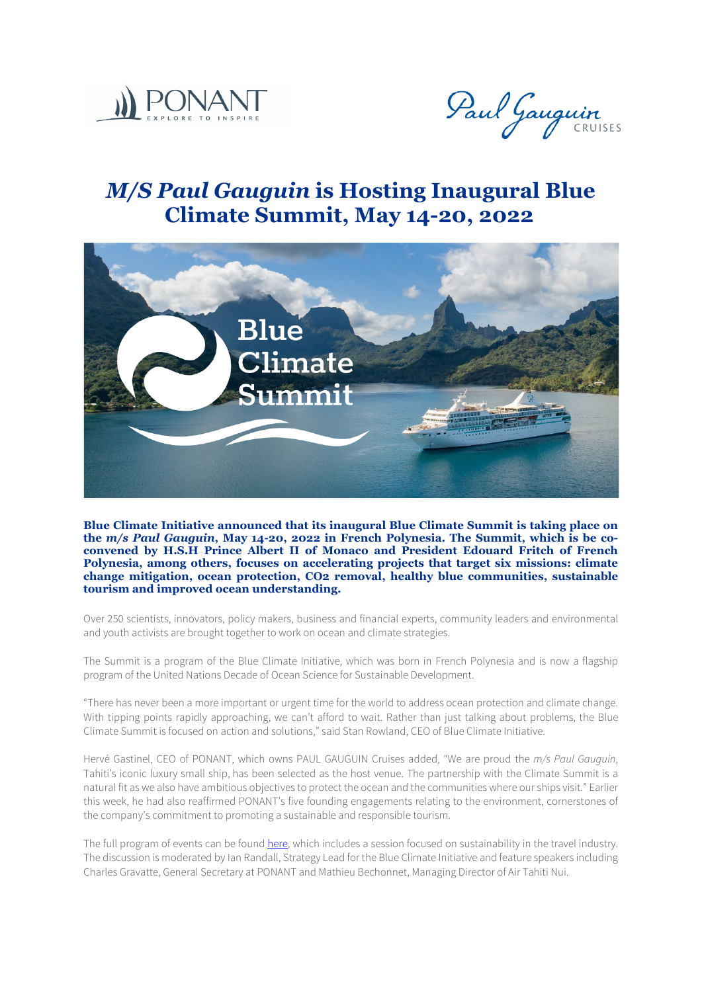



## *M/S Paul Gauguin* **is Hosting Inaugural Blue Climate Summit, May 14-20, 2022**



**Blue Climate Initiative announced that its inaugural Blue Climate Summit is taking place on the** *m/s Paul Gauguin***, May 14-20, 2022 in French Polynesia. The Summit, which is be coconvened by H.S.H Prince Albert II of Monaco and President Edouard Fritch of French Polynesia, among others, focuses on accelerating projects that target six missions: climate change mitigation, ocean protection, CO2 removal, healthy blue communities, sustainable tourism and improved ocean understanding.**

Over 250 scientists, innovators, policy makers, business and financial experts, community leaders and environmental and youth activists are brought together to work on ocean and climate strategies.

The Summit is a program of the Blue Climate Initiative, which was born in French Polynesia and is now a flagship program of the United Nations Decade of Ocean Science for Sustainable Development.

"There has never been a more important or urgent time for the world to address ocean protection and climate change. With tipping points rapidly approaching, we can't afford to wait. Rather than just talking about problems, the Blue Climate Summit is focused on action and solutions," said Stan Rowland, CEO of Blue Climate Initiative.

Hervé Gastinel, CEO of PONANT, which owns PAUL GAUGUIN Cruises added, "We are proud the *m/s Paul Gauguin*, Tahiti's iconic luxury small ship, has been selected as the host venue. The partnership with the Climate Summit is a natural fit as we also have ambitious objectives to protect the ocean and the communities where our ships visit." Earlier this week, he had also reaffirmed PONANT's five founding engagements relating to the environment, cornerstones of the company's commitment to promoting a sustainable and responsible tourism.

The full program of events can be found [here,](https://www.blueclimateinitiative.org/blue-climate-summit) which includes a session focused on sustainability in the travel industry. The discussion is moderated by Ian Randall, Strategy Lead for the Blue Climate Initiative and feature speakers including Charles Gravatte, General Secretary at PONANT and Mathieu Bechonnet, Managing Director of Air Tahiti Nui.